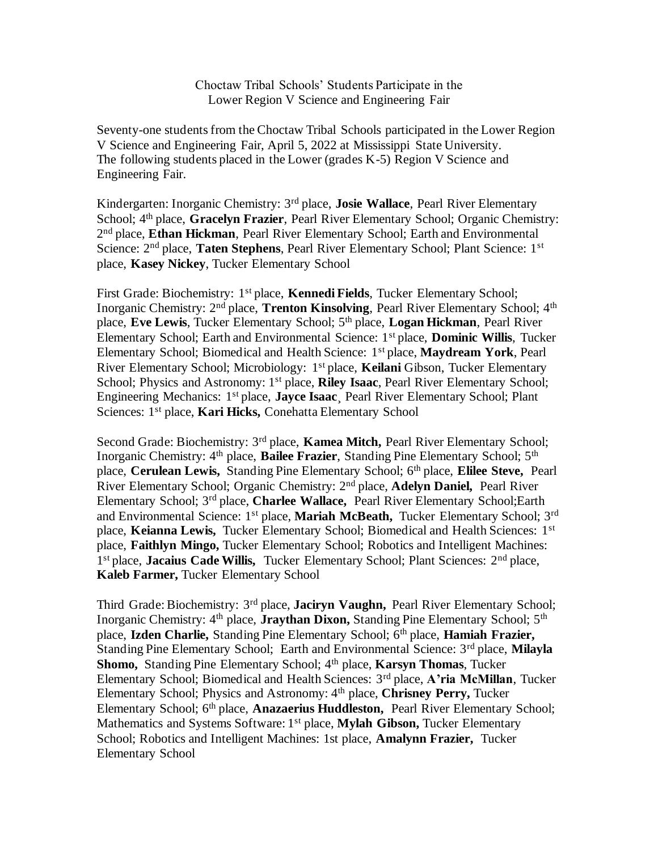Choctaw Tribal Schools' Students Participate in the Lower Region V Science and Engineering Fair

Seventy-one students from the Choctaw Tribal Schools participated in the Lower Region V Science and Engineering Fair, April 5, 2022 at Mississippi State University. The following students placed in the Lower (grades K-5) Region V Science and Engineering Fair.

Kindergarten: Inorganic Chemistry: 3rd place, **Josie Wallace**, Pearl River Elementary School; 4th place, **Gracelyn Frazier**, Pearl River Elementary School; Organic Chemistry: 2 nd place, **Ethan Hickman**, Pearl River Elementary School; Earth and Environmental Science: 2nd place, **Taten Stephens**, Pearl River Elementary School; Plant Science: 1st place, **Kasey Nickey**, Tucker Elementary School

First Grade: Biochemistry: 1st place, **Kennedi Fields**, Tucker Elementary School; Inorganic Chemistry: 2nd place, **Trenton Kinsolving**, Pearl River Elementary School; 4th place, **Eve Lewis**, Tucker Elementary School; 5th place, **Logan Hickman**, Pearl River Elementary School; Earth and Environmental Science: 1st place, **Dominic Willis**, Tucker Elementary School; Biomedical and Health Science: 1st place, **Maydream York**, Pearl River Elementary School; Microbiology: 1st place, **Keilani** Gibson, Tucker Elementary School; Physics and Astronomy: 1st place, **Riley Isaac**, Pearl River Elementary School; Engineering Mechanics: 1st place, **Jayce Isaac**¸ Pearl River Elementary School; Plant Sciences: 1st place, **Kari Hicks,** Conehatta Elementary School

Second Grade: Biochemistry: 3rd place, **Kamea Mitch,** Pearl River Elementary School; Inorganic Chemistry: 4<sup>th</sup> place, **Bailee Frazier**, Standing Pine Elementary School; 5<sup>th</sup> place, **Cerulean Lewis,** Standing Pine Elementary School; 6<sup>th</sup> place, **Elilee Steve,** Pearl River Elementary School; Organic Chemistry: 2nd place, **Adelyn Daniel,** Pearl River Elementary School; 3rd place, **Charlee Wallace,** Pearl River Elementary School;Earth and Environmental Science: 1st place, **Mariah McBeath,** Tucker Elementary School; 3rd place, **Keianna Lewis,** Tucker Elementary School; Biomedical and Health Sciences: 1st place, **Faithlyn Mingo,** Tucker Elementary School; Robotics and Intelligent Machines: 1<sup>st</sup> place, Jacaius Cade Willis, Tucker Elementary School; Plant Sciences: 2<sup>nd</sup> place, **Kaleb Farmer,** Tucker Elementary School

Third Grade: Biochemistry: 3rd place, **Jaciryn Vaughn,** Pearl River Elementary School; Inorganic Chemistry: 4<sup>th</sup> place, **Jraythan Dixon**, Standing Pine Elementary School; 5<sup>th</sup> place, **Izden Charlie,** Standing Pine Elementary School; 6th place, **Hamiah Frazier,**  Standing Pine Elementary School; Earth and Environmental Science: 3rd place, **Milayla Shomo, Standing Pine Elementary School; 4th place, Karsyn Thomas, Tucker** Elementary School; Biomedical and Health Sciences: 3rd place, **A'ria McMillan**, Tucker Elementary School; Physics and Astronomy: 4th place, **Chrisney Perry,** Tucker Elementary School; 6th place, **Anazaerius Huddleston,** Pearl River Elementary School; Mathematics and Systems Software: 1st place, **Mylah Gibson,** Tucker Elementary School; Robotics and Intelligent Machines: 1st place, **Amalynn Frazier,** Tucker Elementary School